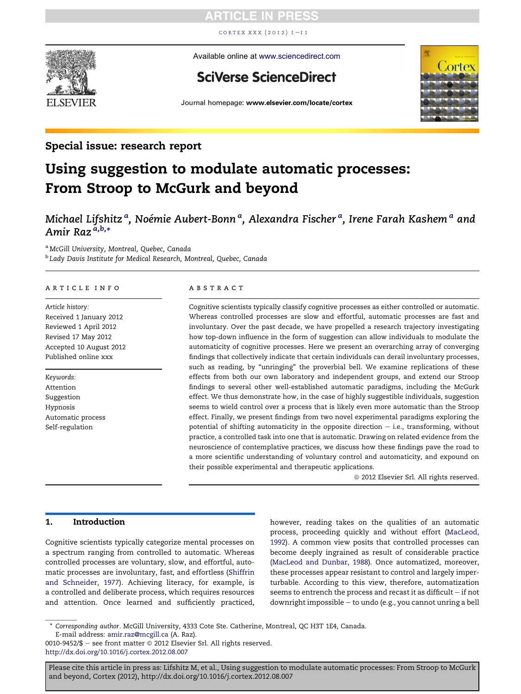CORTEX XXX  $(2012)$  I-II



Available online at [www.sciencedirect.com](www.sciencedirect.com/science/journal/00109452)

# **SciVerse ScienceDirect**



Journal homepage: <www.elsevier.com/locate/cortex>

### Special issue: research report

# Using suggestion to modulate automatic processes: From Stroop to McGurk and beyond

### Michael Lifshitz <sup>a</sup>, Noémie Aubert-Bonn <sup>a</sup>, Alexandra Fischer <sup>a</sup>, Irene Farah Kashem <sup>a</sup> and Amir Raz <sup>a,b,</sup>\*

a McGill University, Montreal, Quebec, Canada **b** Lady Davis Institute for Medical Research, Montreal, Quebec, Canada

#### article info

Article history: Received 1 January 2012 Reviewed 1 April 2012 Revised 17 May 2012 Accepted 10 August 2012 Published online xxx

Keywords: Attention Suggestion Hypnosis Automatic process Self-regulation

#### **ABSTRACT**

Cognitive scientists typically classify cognitive processes as either controlled or automatic. Whereas controlled processes are slow and effortful, automatic processes are fast and involuntary. Over the past decade, we have propelled a research trajectory investigating how top-down influence in the form of suggestion can allow individuals to modulate the automaticity of cognitive processes. Here we present an overarching array of converging findings that collectively indicate that certain individuals can derail involuntary processes, such as reading, by "unringing" the proverbial bell. We examine replications of these effects from both our own laboratory and independent groups, and extend our Stroop findings to several other well-established automatic paradigms, including the McGurk effect. We thus demonstrate how, in the case of highly suggestible individuals, suggestion seems to wield control over a process that is likely even more automatic than the Stroop effect. Finally, we present findings from two novel experimental paradigms exploring the potential of shifting automaticity in the opposite direction  $-$  i.e., transforming, without practice, a controlled task into one that is automatic. Drawing on related evidence from the neuroscience of contemplative practices, we discuss how these findings pave the road to a more scientific understanding of voluntary control and automaticity, and expound on their possible experimental and therapeutic applications.

 $@$  2012 Elsevier Srl. All rights reserved.

#### 1. Introduction

Cognitive scientists typically categorize mental processes on a spectrum ranging from controlled to automatic. Whereas controlled processes are voluntary, slow, and effortful, automatic processes are involuntary, fast, and effortless [\(Shiffrin](#page-10-0) [and Schneider, 1977](#page-10-0)). Achieving literacy, for example, is a controlled and deliberate process, which requires resources and attention. Once learned and sufficiently practiced, however, reading takes on the qualities of an automatic process, proceeding quickly and without effort [\(MacLeod,](#page-9-0) [1992](#page-9-0)). A common view posits that controlled processes can become deeply ingrained as result of considerable practice [\(MacLeod and Dunbar, 1988\)](#page-9-0). Once automatized, moreover, these processes appear resistant to control and largely imperturbable. According to this view, therefore, automatization seems to entrench the process and recast it as difficult  $-$  if not downright impossible - to undo (e.g., you cannot unring a bell

<sup>\*</sup> Corresponding author. McGill University, 4333 Cote Ste. Catherine, Montreal, QC H3T 1E4, Canada. E-mail address: [amir.raz@mcgill.ca](mailto:amir.raz@mcgill.ca) (A. Raz).

<sup>0010-9452/\$ -</sup> see front matter  $©$  2012 Elsevier Srl. All rights reserved. <http://dx.doi.org/10.1016/j.cortex.2012.08.007>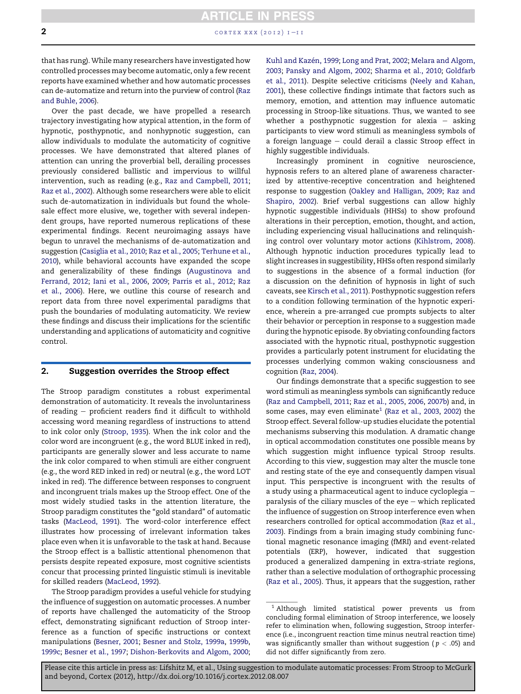<span id="page-1-0"></span>**2** cortex xxx (2012)  $I-I$ 

that has rung). While many researchers have investigated how controlled processes may become automatic, only a few recent reports have examined whether and how automatic processes can de-automatize and return into the purview of control [\(Raz](#page-10-0) [and Buhle, 2006](#page-10-0)).

Over the past decade, we have propelled a research trajectory investigating how atypical attention, in the form of hypnotic, posthypnotic, and nonhypnotic suggestion, can allow individuals to modulate the automaticity of cognitive processes. We have demonstrated that altered planes of attention can unring the proverbial bell, derailing processes previously considered ballistic and impervious to willful intervention, such as reading (e.g., [Raz and Campbell, 2011](#page-10-0); [Raz et al., 2002\)](#page-10-0). Although some researchers were able to elicit such de-automatization in individuals but found the wholesale effect more elusive, we, together with several independent groups, have reported numerous replications of these experimental findings. Recent neuroimaging assays have begun to unravel the mechanisms of de-automatization and suggestion [\(Casiglia et al., 2010;](#page-8-0) [Raz et al., 2005](#page-10-0); [Terhune et al.,](#page-10-0) [2010\)](#page-10-0), while behavioral accounts have expanded the scope and generalizability of these findings [\(Augustinova and](#page-8-0) [Ferrand, 2012;](#page-8-0) [Iani et al., 2006](#page-9-0), [2009;](#page-9-0) [Parris et al., 2012;](#page-10-0) [Raz](#page-10-0) [et al., 2006](#page-10-0)). Here, we outline this course of research and report data from three novel experimental paradigms that push the boundaries of modulating automaticity. We review these findings and discuss their implications for the scientific understanding and applications of automaticity and cognitive control.

#### 2. Suggestion overrides the Stroop effect

The Stroop paradigm constitutes a robust experimental demonstration of automaticity. It reveals the involuntariness of reading  $-$  proficient readers find it difficult to withhold accessing word meaning regardless of instructions to attend to ink color only ([Stroop, 1935](#page-10-0)). When the ink color and the color word are incongruent (e.g., the word BLUE inked in red), participants are generally slower and less accurate to name the ink color compared to when stimuli are either congruent (e.g., the word RED inked in red) or neutral (e.g., the word LOT inked in red). The difference between responses to congruent and incongruent trials makes up the Stroop effect. One of the most widely studied tasks in the attention literature, the Stroop paradigm constitutes the "gold standard" of automatic tasks [\(MacLeod, 1991](#page-9-0)). The word-color interference effect illustrates how processing of irrelevant information takes place even when it is unfavorable to the task at hand. Because the Stroop effect is a ballistic attentional phenomenon that persists despite repeated exposure, most cognitive scientists concur that processing printed linguistic stimuli is inevitable for skilled readers ([MacLeod, 1992](#page-9-0)).

The Stroop paradigm provides a useful vehicle for studying the influence of suggestion on automatic processes. A number of reports have challenged the automaticity of the Stroop effect, demonstrating significant reduction of Stroop interference as a function of specific instructions or context manipulations ([Besner, 2001;](#page-8-0) [Besner and Stolz, 1999a,](#page-8-0) [1999b](#page-8-0), [1999c;](#page-8-0) [Besner et al., 1997](#page-8-0); [Dishon-Berkovits and Algom, 2000](#page-9-0);

Kuhl and Kazén, 1999; [Long and Prat, 2002](#page-9-0); [Melara and Algom,](#page-9-0) [2003;](#page-9-0) [Pansky and Algom, 2002;](#page-10-0) [Sharma et al., 2010;](#page-10-0) [Goldfarb](#page-9-0) [et al., 2011](#page-9-0)). Despite selective criticisms ([Neely and Kahan,](#page-9-0) [2001\)](#page-9-0), these collective findings intimate that factors such as memory, emotion, and attention may influence automatic processing in Stroop-like situations. Thus, we wanted to see whether a posthypnotic suggestion for alexia  $-$  asking participants to view word stimuli as meaningless symbols of a foreign language  $-$  could derail a classic Stroop effect in highly suggestible individuals.

Increasingly prominent in cognitive neuroscience, hypnosis refers to an altered plane of awareness characterized by attentive-receptive concentration and heightened response to suggestion ([Oakley and Halligan, 2009;](#page-9-0) [Raz and](#page-10-0) [Shapiro, 2002](#page-10-0)). Brief verbal suggestions can allow highly hypnotic suggestible individuals (HHSs) to show profound alterations in their perception, emotion, thought, and action, including experiencing visual hallucinations and relinquishing control over voluntary motor actions [\(Kihlstrom, 2008\)](#page-9-0). Although hypnotic induction procedures typically lead to slight increases in suggestibility, HHSs often respond similarly to suggestions in the absence of a formal induction (for a discussion on the definition of hypnosis in light of such caveats, see [Kirsch et al., 2011](#page-9-0)). Posthypnotic suggestion refers to a condition following termination of the hypnotic experience, wherein a pre-arranged cue prompts subjects to alter their behavior or perception in response to a suggestion made during the hypnotic episode. By obviating confounding factors associated with the hypnotic ritual, posthypnotic suggestion provides a particularly potent instrument for elucidating the processes underlying common waking consciousness and cognition ([Raz, 2004\)](#page-10-0).

Our findings demonstrate that a specific suggestion to see word stimuli as meaningless symbols can significantly reduce ([Raz and Campbell, 2011;](#page-10-0) [Raz et al., 2005](#page-10-0), [2006](#page-10-0), [2007b](#page-10-0)) and, in some cases, may even eliminate<sup>1</sup> [\(Raz et al., 2003](#page-10-0), [2002](#page-10-0)) the Stroop effect. Several follow-up studies elucidate the potential mechanisms subserving this modulation. A dramatic change in optical accommodation constitutes one possible means by which suggestion might influence typical Stroop results. According to this view, suggestion may alter the muscle tone and resting state of the eye and consequently dampen visual input. This perspective is incongruent with the results of a study using a pharmaceutical agent to induce cycloplegia paralysis of the ciliary muscles of the  $eye -$  which replicated the influence of suggestion on Stroop interference even when researchers controlled for optical accommodation [\(Raz et al.,](#page-10-0) [2003\)](#page-10-0). Findings from a brain imaging study combining functional magnetic resonance imaging (fMRI) and event-related potentials (ERP), however, indicated that suggestion produced a generalized dampening in extra-striate regions, rather than a selective modulation of orthographic processing ([Raz et al., 2005](#page-10-0)). Thus, it appears that the suggestion, rather

<sup>&</sup>lt;sup>1</sup> Although limited statistical power prevents us from concluding formal elimination of Stroop interference, we loosely refer to elimination when, following suggestion, Stroop interference (i.e., incongruent reaction time minus neutral reaction time) was significantly smaller than without suggestion ( $p < .05$ ) and did not differ significantly from zero.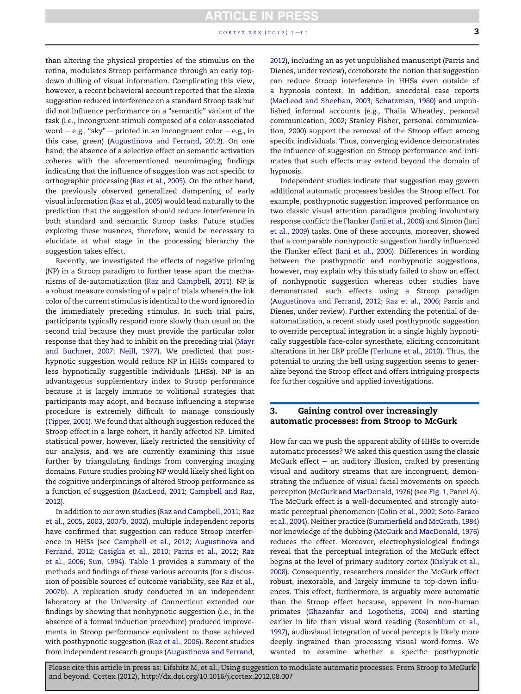### **ARTICLE IN PRESS** CORTEX XXX  $(2012)$   $I-I$  I

than altering the physical properties of the stimulus on the retina, modulates Stroop performance through an early topdown dulling of visual information. Complicating this view, however, a recent behavioral account reported that the alexia suggestion reduced interference on a standard Stroop task but did not influence performance on a "semantic" variant of the task (i.e., incongruent stimuli composed of a color-associated word  $-$  e.g., "sky"  $-$  printed in an incongruent color  $-$  e.g., in this case, green) [\(Augustinova and Ferrand, 2012](#page-8-0)). On one hand, the absence of a selective effect on semantic activation coheres with the aforementioned neuroimaging findings indicating that the influence of suggestion was not specific to orthographic processing [\(Raz et al., 2005](#page-10-0)). On the other hand, the previously observed generalized dampening of early visual information ([Raz et al., 2005](#page-10-0)) would lead naturally to the prediction that the suggestion should reduce interference in both standard and semantic Stroop tasks. Future studies exploring these nuances, therefore, would be necessary to elucidate at what stage in the processing hierarchy the suggestion takes effect.

Recently, we investigated the effects of negative priming (NP) in a Stroop paradigm to further tease apart the mechanisms of de-automatization ([Raz and Campbell, 2011\)](#page-10-0). NP is a robust measure consisting of a pair of trials wherein the ink color of the current stimulus is identical to the word ignored in the immediately preceding stimulus. In such trial pairs, participants typically respond more slowly than usual on the second trial because they must provide the particular color response that they had to inhibit on the preceding trial [\(Mayr](#page-9-0) [and Buchner, 2007](#page-9-0); [Neill, 1977\)](#page-9-0). We predicted that posthypnotic suggestion would reduce NP in HHSs compared to less hypnotically suggestible individuals (LHSs). NP is an advantageous supplementary index to Stroop performance because it is largely immune to volitional strategies that participants may adopt, and because influencing a stepwise procedure is extremely difficult to manage consciously [\(Tipper, 2001](#page-10-0)). We found that although suggestion reduced the Stroop effect in a large cohort, it hardly affected NP. Limited statistical power, however, likely restricted the sensitivity of our analysis, and we are currently examining this issue further by triangulating findings from converging imaging domains. Future studies probing NP would likely shed light on the cognitive underpinnings of altered Stroop performance as a function of suggestion ([MacLeod, 2011](#page-9-0); [Campbell and Raz,](#page-8-0) [2012](#page-8-0)).

In addition to our own studies ([Raz and Campbell, 2011](#page-10-0); [Raz](#page-10-0) [et al., 2005](#page-10-0), [2003,](#page-10-0) [2007b](#page-10-0), [2002](#page-10-0)), multiple independent reports have confirmed that suggestion can reduce Stroop interference in HHSs (see [Campbell et al., 2012;](#page-8-0) [Augustinova and](#page-8-0) [Ferrand, 2012](#page-8-0); [Casiglia et al., 2010](#page-8-0); [Parris et al., 2012](#page-10-0); [Raz](#page-10-0) [et al., 2006](#page-10-0); [Sun, 1994\)](#page-10-0). [Table 1](#page-3-0) provides a summary of the methods and findings of these various accounts (for a discussion of possible sources of outcome variability, see [Raz et al.,](#page-10-0) [2007b](#page-10-0)). A replication study conducted in an independent laboratory at the University of Connecticut extended our findings by showing that nonhypnotic suggestion (i.e., in the absence of a formal induction procedure) produced improvements in Stroop performance equivalent to those achieved with posthypnotic suggestion [\(Raz et al., 2006\)](#page-10-0). Recent studies from independent research groups ([Augustinova and Ferrand,](#page-8-0) [2012](#page-8-0)), including an as yet unpublished manuscript (Parris and Dienes, under review), corroborate the notion that suggestion can reduce Stroop interference in HHSs even outside of a hypnosis context. In addition, anecdotal case reports [\(MacLeod and Sheehan, 2003;](#page-9-0) [Schatzman, 1980](#page-10-0)) and unpublished informal accounts (e.g., Thalia Wheatley, personal communication, 2002; Stanley Fisher, personal communication, 2000) support the removal of the Stroop effect among specific individuals. Thus, converging evidence demonstrates the influence of suggestion on Stroop performance and intimates that such effects may extend beyond the domain of hypnosis.

Independent studies indicate that suggestion may govern additional automatic processes besides the Stroop effect. For example, posthypnotic suggestion improved performance on two classic visual attention paradigms probing involuntary response conflict: the Flanker [\(Iani et al., 2006](#page-9-0)) and Simon [\(Iani](#page-9-0) [et al., 2009](#page-9-0)) tasks. One of these accounts, moreover, showed that a comparable nonhypnotic suggestion hardly influenced the Flanker effect [\(Iani et al., 2006](#page-9-0)). Differences in wording between the posthypnotic and nonhypnotic suggestions, however, may explain why this study failed to show an effect of nonhypnotic suggestion whereas other studies have demonstrated such effects using a Stroop paradigm [\(Augustinova and Ferrand, 2012;](#page-8-0) [Raz et al., 2006;](#page-10-0) Parris and Dienes, under review). Further extending the potential of deautomatization, a recent study used posthypnotic suggestion to override perceptual integration in a single highly hypnotically suggestible face-color synesthete, eliciting concomitant alterations in her ERP profile [\(Terhune et al., 2010](#page-10-0)). Thus, the potential to unring the bell using suggestion seems to generalize beyond the Stroop effect and offers intriguing prospects for further cognitive and applied investigations.

#### 3. Gaining control over increasingly automatic processes: from Stroop to McGurk

How far can we push the apparent ability of HHSs to override automatic processes? We asked this question using the classic McGurk effect  $-$  an auditory illusion, crafted by presenting visual and auditory streams that are incongruent, demonstrating the influence of visual facial movements on speech perception ([McGurk and MacDonald, 1976](#page-9-0)) (see [Fig. 1](#page-4-0), Panel A). The McGurk effect is a well-documented and strongly automatic perceptual phenomenon ([Colin et al., 2002](#page-9-0); [Soto-Faraco](#page-10-0) [et al., 2004\)](#page-10-0). Neither practice ([Summerfield and McGrath, 1984\)](#page-10-0) nor knowledge of the dubbing ([McGurk and MacDonald, 1976\)](#page-9-0) reduces the effect. Moreover, electrophysiological findings reveal that the perceptual integration of the McGurk effect begins at the level of primary auditory cortex [\(Kislyuk et al.,](#page-9-0) [2008](#page-9-0)). Consequently, researchers consider the McGurk effect robust, inexorable, and largely immune to top-down influences. This effect, furthermore, is arguably more automatic than the Stroop effect because, apparent in non-human primates ([Ghazanfar and Logothetis, 2004\)](#page-9-0) and starting earlier in life than visual word reading ([Rosenblum et al.,](#page-10-0) [1997](#page-10-0)), audiovisual integration of vocal percepts is likely more deeply ingrained than processing visual word-forms. We wanted to examine whether a specific posthypnotic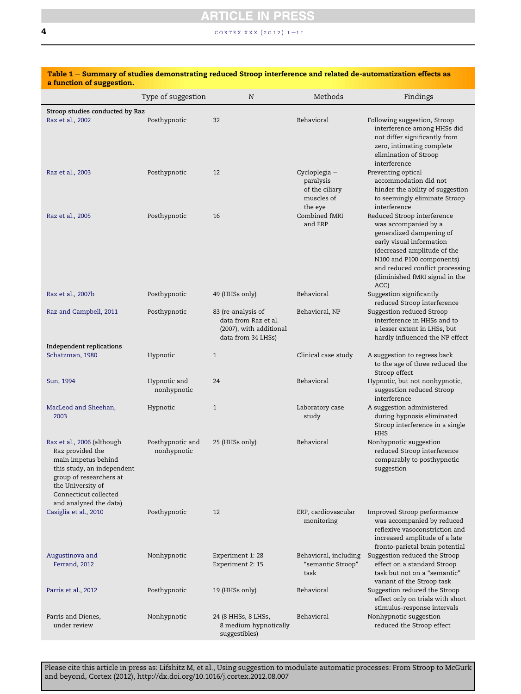#### <span id="page-3-0"></span>**4** cortex xxx (2012)  $I-II$

| a function of suggestion.                                                                                                                                                                              |                                 |                                                                                             |                                                                       |                                                                                                                                                                                                                                                      |  |  |  |  |  |
|--------------------------------------------------------------------------------------------------------------------------------------------------------------------------------------------------------|---------------------------------|---------------------------------------------------------------------------------------------|-----------------------------------------------------------------------|------------------------------------------------------------------------------------------------------------------------------------------------------------------------------------------------------------------------------------------------------|--|--|--|--|--|
|                                                                                                                                                                                                        | Type of suggestion              | N                                                                                           | Methods                                                               | Findings                                                                                                                                                                                                                                             |  |  |  |  |  |
| Stroop studies conducted by Raz<br>Raz et al., 2002                                                                                                                                                    | Posthypnotic                    | 32                                                                                          | Behavioral                                                            | Following suggestion, Stroop<br>interference among HHSs did<br>not differ significantly from<br>zero, intimating complete<br>elimination of Stroop<br>interference                                                                                   |  |  |  |  |  |
| Raz et al., 2003                                                                                                                                                                                       | Posthypnotic                    | 12                                                                                          | Cycloplegia -<br>paralysis<br>of the ciliary<br>muscles of<br>the eye | Preventing optical<br>accommodation did not<br>hinder the ability of suggestion<br>to seemingly eliminate Stroop<br>interference                                                                                                                     |  |  |  |  |  |
| Raz et al., 2005                                                                                                                                                                                       | Posthypnotic                    | 16                                                                                          | Combined fMRI<br>and ERP                                              | Reduced Stroop interference<br>was accompanied by a<br>generalized dampening of<br>early visual information<br>(decreased amplitude of the<br>N100 and P100 components)<br>and reduced conflict processing<br>(diminished fMRI signal in the<br>ACC) |  |  |  |  |  |
| Raz et al., 2007b                                                                                                                                                                                      | Posthypnotic                    | 49 (HHSs only)                                                                              | Behavioral                                                            | Suggestion significantly<br>reduced Stroop interference                                                                                                                                                                                              |  |  |  |  |  |
| Raz and Campbell, 2011                                                                                                                                                                                 | Posthypnotic                    | 83 (re-analysis of<br>data from Raz et al.<br>(2007), with additional<br>data from 34 LHSs) | Behavioral, NP                                                        | Suggestion reduced Stroop<br>interference in HHSs and to<br>a lesser extent in LHSs, but<br>hardly influenced the NP effect                                                                                                                          |  |  |  |  |  |
| Independent replications<br>Schatzman, 1980                                                                                                                                                            | Hypnotic                        | $\mathbf{1}$                                                                                | Clinical case study                                                   | A suggestion to regress back<br>to the age of three reduced the<br>Stroop effect                                                                                                                                                                     |  |  |  |  |  |
| Sun, 1994                                                                                                                                                                                              | Hypnotic and<br>nonhypnotic     | 24                                                                                          | Behavioral                                                            | Hypnotic, but not nonhypnotic,<br>suggestion reduced Stroop<br>interference                                                                                                                                                                          |  |  |  |  |  |
| MacLeod and Sheehan,<br>2003                                                                                                                                                                           | Hypnotic                        | $\mathbf{1}$                                                                                | Laboratory case<br>study                                              | A suggestion administered<br>during hypnosis eliminated<br>Stroop interference in a single<br><b>HHS</b>                                                                                                                                             |  |  |  |  |  |
| Raz et al., 2006 (although<br>Raz provided the<br>main impetus behind<br>this study, an independent<br>group of researchers at<br>the University of<br>Connecticut collected<br>and analyzed the data) | Posthypnotic and<br>nonhypnotic | 25 (HHSs only)                                                                              | Behavioral                                                            | Nonhypnotic suggestion<br>reduced Stroop interference<br>comparably to posthypnotic<br>suggestion                                                                                                                                                    |  |  |  |  |  |
| Casiglia et al., 2010                                                                                                                                                                                  | Posthypnotic                    | 12                                                                                          | ERP, cardiovascular<br>monitoring                                     | Improved Stroop performance<br>was accompanied by reduced<br>reflexive vasoconstriction and<br>increased amplitude of a late<br>fronto-parietal brain potential                                                                                      |  |  |  |  |  |
| Augustinova and<br>Ferrand, 2012                                                                                                                                                                       | Nonhypnotic                     | Experiment 1: 28<br>Experiment 2: 15                                                        | Behavioral, including<br>"semantic Stroop"<br>task                    | Suggestion reduced the Stroop<br>effect on a standard Stroop<br>task but not on a "semantic"<br>variant of the Stroop task                                                                                                                           |  |  |  |  |  |
| Parris et al., 2012                                                                                                                                                                                    | Posthypnotic                    | 19 (HHSs only)                                                                              | Behavioral                                                            | Suggestion reduced the Stroop<br>effect only on trials with short<br>stimulus-response intervals                                                                                                                                                     |  |  |  |  |  |
| Parris and Dienes,<br>under review                                                                                                                                                                     | Nonhypnotic                     | 24 (8 HHSs, 8 LHSs,<br>8 medium hypnotically<br>suggestibles)                               | Behavioral                                                            | Nonhypnotic suggestion<br>reduced the Stroop effect                                                                                                                                                                                                  |  |  |  |  |  |

# Table  $1$  – Summary of studies demonstrating reduced Stroop interference and related de-automatization effects as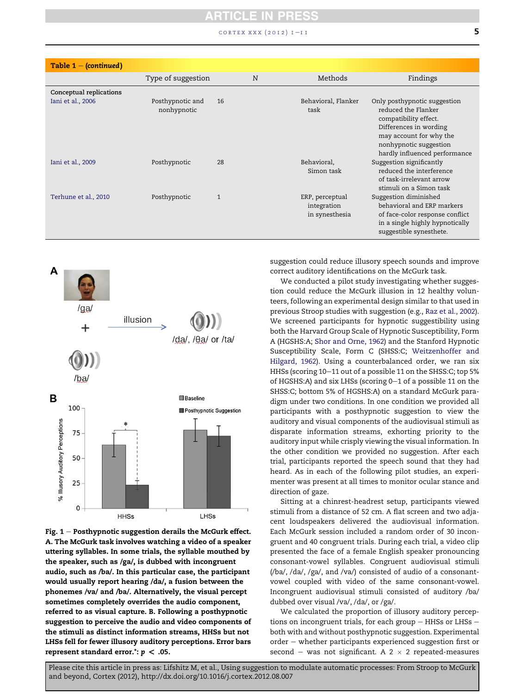### **CLE IN PRES**

#### CORTEX XXX  $(2012)$  1 – [1 1](http://dx.doi.org/10.1016/j.cortex.2012.08.007)

<span id="page-4-0"></span>

| Table $1 - (continued)$                      |                                 |              |   |                                                  |                                                                                                                                                                                              |
|----------------------------------------------|---------------------------------|--------------|---|--------------------------------------------------|----------------------------------------------------------------------------------------------------------------------------------------------------------------------------------------------|
|                                              | Type of suggestion              |              | N | Methods                                          | Findings                                                                                                                                                                                     |
| Conceptual replications<br>Iani et al., 2006 | Posthypnotic and<br>nonhypnotic | 16           |   | Behavioral, Flanker<br>task                      | Only posthypnotic suggestion<br>reduced the Flanker<br>compatibility effect.<br>Differences in wording<br>may account for why the<br>nonhypnotic suggestion<br>hardly influenced performance |
| Iani et al., 2009                            | Posthypnotic                    | 28           |   | Behavioral,<br>Simon task                        | Suggestion significantly<br>reduced the interference<br>of task-irrelevant arrow<br>stimuli on a Simon task                                                                                  |
| Terhune et al., 2010                         | Posthypnotic                    | $\mathbf{1}$ |   | ERP, perceptual<br>integration<br>in synesthesia | Suggestion diminished<br>behavioral and ERP markers<br>of face-color response conflict<br>in a single highly hypnotically<br>suggestible synesthete.                                         |





suggestion could reduce illusory speech sounds and improve correct auditory identifications on the McGurk task.

We conducted a pilot study investigating whether suggestion could reduce the McGurk illusion in 12 healthy volunteers, following an experimental design similar to that used in previous Stroop studies with suggestion (e.g., [Raz et al., 2002](#page-10-0)). We screened participants for hypnotic suggestibility using both the Harvard Group Scale of Hypnotic Susceptibility, Form A (HGSHS:A; [Shor and Orne, 1962](#page-10-0)) and the Stanford Hypnotic Susceptibility Scale, Form C (SHSS:C; [Weitzenhoffer and](#page-10-0) [Hilgard, 1962\)](#page-10-0). Using a counterbalanced order, we ran six HHSs (scoring 10-11 out of a possible 11 on the SHSS:C; top 5% of HGSHS:A) and six LHSs (scoring  $0-1$  of a possible 11 on the SHSS:C; bottom 5% of HGSHS:A) on a standard McGurk paradigm under two conditions. In one condition we provided all participants with a posthypnotic suggestion to view the auditory and visual components of the audiovisual stimuli as disparate information streams, exhorting priority to the auditory input while crisply viewing the visual information. In the other condition we provided no suggestion. After each trial, participants reported the speech sound that they had heard. As in each of the following pilot studies, an experimenter was present at all times to monitor ocular stance and direction of gaze.

Sitting at a chinrest-headrest setup, participants viewed stimuli from a distance of 52 cm. A flat screen and two adjacent loudspeakers delivered the audiovisual information. Each McGurk session included a random order of 30 incongruent and 40 congruent trials. During each trial, a video clip presented the face of a female English speaker pronouncing consonant-vowel syllables. Congruent audiovisual stimuli (/ba/, /da/, /ga/, and /va/) consisted of audio of a consonantvowel coupled with video of the same consonant-vowel. Incongruent audiovisual stimuli consisted of auditory /ba/ dubbed over visual /va/, /da/, or /ga/.

We calculated the proportion of illusory auditory perceptions on incongruent trials, for each group  $-$  HHSs or LHSs  $$ both with and without posthypnotic suggestion. Experimental  $order - whether$  participants experienced suggestion first or second – was not significant. A  $2 \times 2$  repeated-measures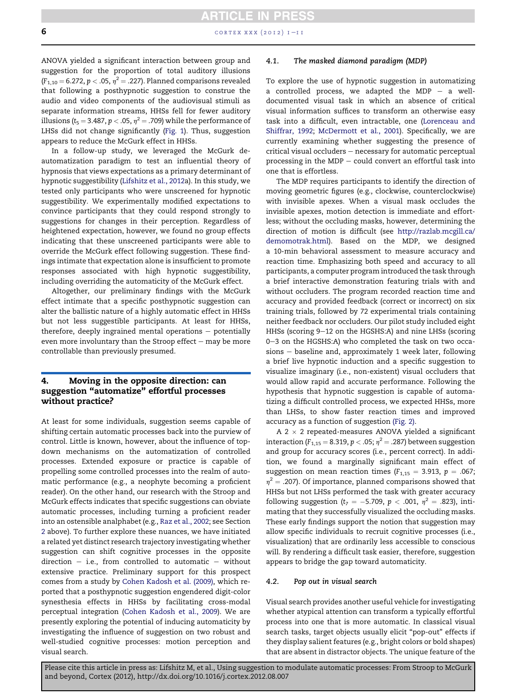ANOVA yielded a significant interaction between group and suggestion for the proportion of total auditory illusions  $(F_{1,10} = 6.272, p < .05, \eta^2 = .227)$ . Planned comparisons revealed that following a posthypnotic suggestion to construe the audio and video components of the audiovisual stimuli as separate information streams, HHSs fell for fewer auditory illusions ( $t_5 = 3.487$ ,  $p < .05$ ,  $n^2 = .709$ ) while the performance of LHSs did not change significantly ([Fig. 1](#page-4-0)). Thus, suggestion appears to reduce the McGurk effect in HHSs.

In a follow-up study, we leveraged the McGurk deautomatization paradigm to test an influential theory of hypnosis that views expectations as a primary determinant of hypnotic suggestibility ([Lifshitz et al., 2012](#page-9-0)a). In this study, we tested only participants who were unscreened for hypnotic suggestibility. We experimentally modified expectations to convince participants that they could respond strongly to suggestions for changes in their perception. Regardless of heightened expectation, however, we found no group effects indicating that these unscreened participants were able to override the McGurk effect following suggestion. These findings intimate that expectation alone is insufficient to promote responses associated with high hypnotic suggestibility, including overriding the automaticity of the McGurk effect.

Altogether, our preliminary findings with the McGurk effect intimate that a specific posthypnotic suggestion can alter the ballistic nature of a highly automatic effect in HHSs but not less suggestible participants. At least for HHSs, therefore, deeply ingrained mental operations  $-$  potentially even more involuntary than the Stroop effect  $-$  may be more controllable than previously presumed.

#### 4. Moving in the opposite direction: can suggestion "automatize" effortful processes without practice?

At least for some individuals, suggestion seems capable of shifting certain automatic processes back into the purview of control. Little is known, however, about the influence of topdown mechanisms on the automatization of controlled processes. Extended exposure or practice is capable of propelling some controlled processes into the realm of automatic performance (e.g., a neophyte becoming a proficient reader). On the other hand, our research with the Stroop and McGurk effects indicates that specific suggestions can obviate automatic processes, including turning a proficient reader into an ostensible analphabet (e.g., [Raz et al., 2002;](#page-10-0) see Section [2](#page-1-0) above). To further explore these nuances, we have initiated a related yet distinct research trajectory investigating whether suggestion can shift cognitive processes in the opposite direction  $-$  i.e., from controlled to automatic  $-$  without extensive practice. Preliminary support for this prospect comes from a study by [Cohen Kadosh et al. \(2009\),](#page-9-0) which reported that a posthypnotic suggestion engendered digit-color synesthesia effects in HHSs by facilitating cross-modal perceptual integration [\(Cohen Kadosh et al., 2009\)](#page-9-0). We are presently exploring the potential of inducing automaticity by investigating the influence of suggestion on two robust and well-studied cognitive processes: motion perception and visual search.

#### 4.1. The masked diamond paradigm (MDP)

To explore the use of hypnotic suggestion in automatizing a controlled process, we adapted the MDP  $-$  a welldocumented visual task in which an absence of critical visual information suffices to transform an otherwise easy task into a difficult, even intractable, one ([Lorenceau and](#page-9-0) [Shiffrar, 1992;](#page-9-0) [McDermott et al., 2001\)](#page-9-0). Specifically, we are currently examining whether suggesting the presence of  $critical$  visual occluders  $-$  necessary for automatic perceptual processing in the  $MDP - \text{could convert}$  an effortful task into one that is effortless.

The MDP requires participants to identify the direction of moving geometric figures (e.g., clockwise, counterclockwise) with invisible apexes. When a visual mask occludes the invisible apexes, motion detection is immediate and effortless; without the occluding masks, however, determining the direction of motion is difficult (see [http://razlab.mcgill.ca/](http://razlab.mcgill.ca/demomotrak.html) [demomotrak.html\)](http://razlab.mcgill.ca/demomotrak.html). Based on the MDP, we designed a 10-min behavioral assessment to measure accuracy and reaction time. Emphasizing both speed and accuracy to all participants, a computer program introduced the task through a brief interactive demonstration featuring trials with and without occluders. The program recorded reaction time and accuracy and provided feedback (correct or incorrect) on six training trials, followed by 72 experimental trials containing neither feedback nor occluders. Our pilot study included eight HHSs (scoring 9-12 on the HGSHS:A) and nine LHSs (scoring 0-3 on the HGSHS:A) who completed the task on two occasions  $-$  baseline and, approximately 1 week later, following a brief live hypnotic induction and a specific suggestion to visualize imaginary (i.e., non-existent) visual occluders that would allow rapid and accurate performance. Following the hypothesis that hypnotic suggestion is capable of automatizing a difficult controlled process, we expected HHSs, more than LHSs, to show faster reaction times and improved accuracy as a function of suggestion [\(Fig. 2\)](#page-6-0).

A 2  $\times$  2 repeated-measures ANOVA yielded a significant interaction ( $F_{1,15} = 8.319$ ,  $p < .05$ ;  $\eta^2 = .287$ ) between suggestion and group for accuracy scores (i.e., percent correct). In addition, we found a marginally significant main effect of suggestion on mean reaction times ( $F_{1,15} = 3.913$ ,  $p = .067$ ;  $\eta^2$  = .207). Of importance, planned comparisons showed that HHSs but not LHSs performed the task with greater accuracy following suggestion ( $t_7 = -5.709$ ,  $p < .001$ ,  $\eta^2 = .823$ ), intimating that they successfully visualized the occluding masks. These early findings support the notion that suggestion may allow specific individuals to recruit cognitive processes (i.e., visualization) that are ordinarily less accessible to conscious will. By rendering a difficult task easier, therefore, suggestion appears to bridge the gap toward automaticity.

#### 4.2. Pop out in visual search

Visual search provides another useful vehicle for investigating whether atypical attention can transform a typically effortful process into one that is more automatic. In classical visual search tasks, target objects usually elicit "pop-out" effects if they display salient features (e.g., bright colors or bold shapes) that are absent in distractor objects. The unique feature of the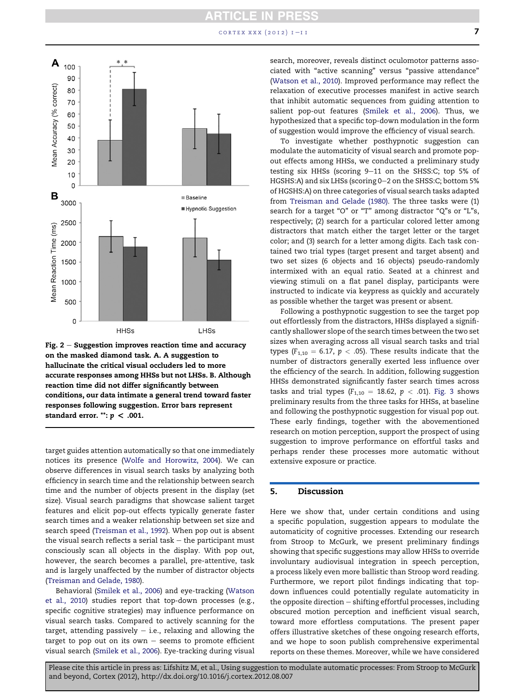#### CORTEX XXX  $(2012)$  I-II

<span id="page-6-0"></span>

Fig.  $2 -$  Suggestion improves reaction time and accuracy on the masked diamond task. A. A suggestion to hallucinate the critical visual occluders led to more accurate responses among HHSs but not LHSs. B. Although reaction time did not differ significantly between conditions, our data intimate a general trend toward faster responses following suggestion. Error bars represent standard error. \*\*:  $p < .001$ .

target guides attention automatically so that one immediately notices its presence [\(Wolfe and Horowitz, 2004\)](#page-10-0). We can observe differences in visual search tasks by analyzing both efficiency in search time and the relationship between search time and the number of objects present in the display (set size). Visual search paradigms that showcase salient target features and elicit pop-out effects typically generate faster search times and a weaker relationship between set size and search speed ([Treisman et al., 1992\)](#page-10-0). When pop out is absent the visual search reflects a serial task  $-$  the participant must consciously scan all objects in the display. With pop out, however, the search becomes a parallel, pre-attentive, task and is largely unaffected by the number of distractor objects [\(Treisman and Gelade, 1980\)](#page-10-0).

Behavioral ([Smilek et al., 2006](#page-10-0)) and eye-tracking ([Watson](#page-10-0) [et al., 2010\)](#page-10-0) studies report that top-down processes (e.g., specific cognitive strategies) may influence performance on visual search tasks. Compared to actively scanning for the target, attending passively  $-$  i.e., relaxing and allowing the target to pop out on its own  $-$  seems to promote efficient visual search ([Smilek et al., 2006](#page-10-0)). Eye-tracking during visual search, moreover, reveals distinct oculomotor patterns associated with "active scanning" versus "passive attendance" [\(Watson et al., 2010\)](#page-10-0). Improved performance may reflect the relaxation of executive processes manifest in active search that inhibit automatic sequences from guiding attention to salient pop-out features ([Smilek et al., 2006](#page-10-0)). Thus, we hypothesized that a specific top-down modulation in the form of suggestion would improve the efficiency of visual search.

To investigate whether posthypnotic suggestion can modulate the automaticity of visual search and promote popout effects among HHSs, we conducted a preliminary study testing six HHSs (scoring  $9-11$  on the SHSS:C; top 5% of HGSHS:A) and six LHSs (scoring 0-2 on the SHSS:C; bottom 5% of HGSHS:A) on three categories of visual search tasks adapted from [Treisman and Gelade \(1980\).](#page-10-0) The three tasks were (1) search for a target "O" or "T" among distractor "Q"s or "L"s, respectively; (2) search for a particular colored letter among distractors that match either the target letter or the target color; and (3) search for a letter among digits. Each task contained two trial types (target present and target absent) and two set sizes (6 objects and 16 objects) pseudo-randomly intermixed with an equal ratio. Seated at a chinrest and viewing stimuli on a flat panel display, participants were instructed to indicate via keypress as quickly and accurately as possible whether the target was present or absent.

Following a posthypnotic suggestion to see the target pop out effortlessly from the distractors, HHSs displayed a significantly shallower slope of the search times between the two set sizes when averaging across all visual search tasks and trial types ( $F_{1,10} = 6.17$ ,  $p < .05$ ). These results indicate that the number of distractors generally exerted less influence over the efficiency of the search. In addition, following suggestion HHSs demonstrated significantly faster search times across tasks and trial types ( $F_{1,10} = 18.62$ ,  $p < .01$ ). [Fig. 3](#page-7-0) shows preliminary results from the three tasks for HHSs, at baseline and following the posthypnotic suggestion for visual pop out. These early findings, together with the abovementioned research on motion perception, support the prospect of using suggestion to improve performance on effortful tasks and perhaps render these processes more automatic without extensive exposure or practice.

#### 5. Discussion

Here we show that, under certain conditions and using a specific population, suggestion appears to modulate the automaticity of cognitive processes. Extending our research from Stroop to McGurk, we present preliminary findings showing that specific suggestions may allow HHSs to override involuntary audiovisual integration in speech perception, a process likely even more ballistic than Stroop word reading. Furthermore, we report pilot findings indicating that topdown influences could potentially regulate automaticity in the opposite direction  $-$  shifting effortful processes, including obscured motion perception and inefficient visual search, toward more effortless computations. The present paper offers illustrative sketches of these ongoing research efforts, and we hope to soon publish comprehensive experimental reports on these themes. Moreover, while we have considered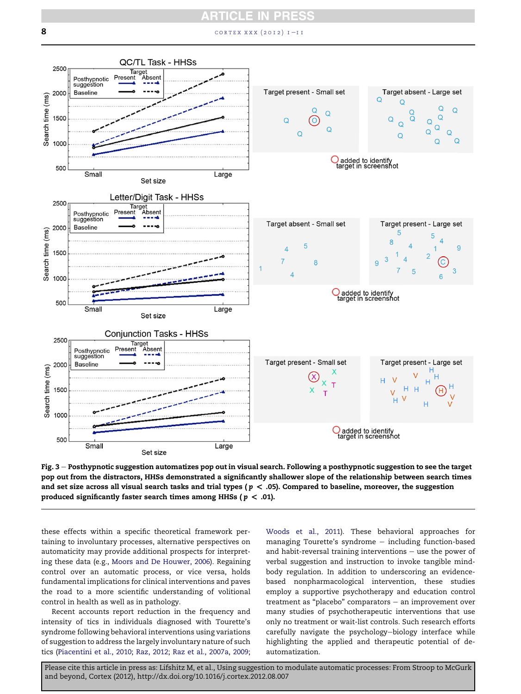<span id="page-7-0"></span>

Fig.  $3$  – Posthypnotic suggestion automatizes pop out in visual search. Following a posthypnotic suggestion to see the target pop out from the distractors, HHSs demonstrated a significantly shallower slope of the relationship between search times and set size across all visual search tasks and trial types ( $p < .05$ ). Compared to baseline, moreover, the suggestion produced significantly faster search times among HHSs ( $p < .01$ ).

these effects within a specific theoretical framework pertaining to involuntary processes, alternative perspectives on automaticity may provide additional prospects for interpreting these data (e.g., [Moors and De Houwer, 2006](#page-9-0)). Regaining control over an automatic process, or vice versa, holds fundamental implications for clinical interventions and paves the road to a more scientific understanding of volitional control in health as well as in pathology.

Recent accounts report reduction in the frequency and intensity of tics in individuals diagnosed with Tourette's syndrome following behavioral interventions using variations of suggestion to address the largely involuntary nature of such tics [\(Piacentini et al., 2010](#page-10-0); [Raz, 2012](#page-10-0); [Raz et al., 2007a](#page-10-0), [2009](#page-10-0); [Woods et al., 2011](#page-10-0)). These behavioral approaches for managing Tourette's syndrome  $-$  including function-based and habit-reversal training interventions  $-$  use the power of verbal suggestion and instruction to invoke tangible mindbody regulation. In addition to underscoring an evidencebased nonpharmacological intervention, these studies employ a supportive psychotherapy and education control treatment as "placebo" comparators  $-$  an improvement over many studies of psychotherapeutic interventions that use only no treatment or wait-list controls. Such research efforts carefully navigate the psychology-biology interface while highlighting the applied and therapeutic potential of deautomatization.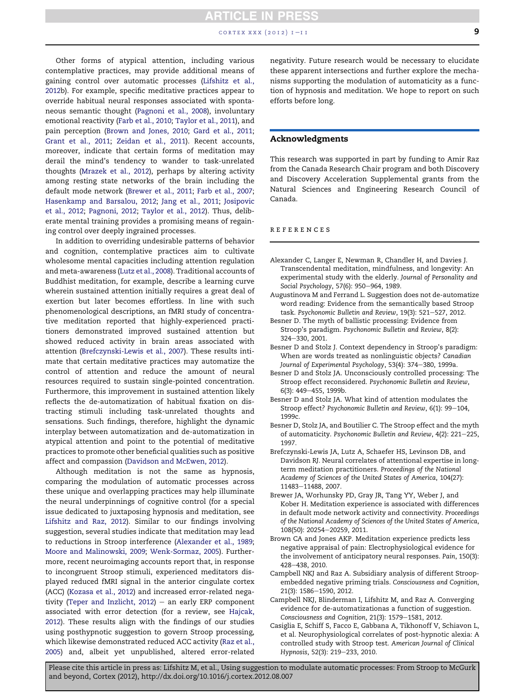#### $CORTEX XXX (2012) I-II$

<span id="page-8-0"></span>Other forms of atypical attention, including various contemplative practices, may provide additional means of gaining control over automatic processes [\(Lifshitz et al.,](#page-9-0) [2012](#page-9-0)b). For example, specific meditative practices appear to override habitual neural responses associated with spontaneous semantic thought ([Pagnoni et al., 2008\)](#page-10-0), involuntary emotional reactivity [\(Farb et al., 2010;](#page-9-0) [Taylor et al., 2011](#page-10-0)), and pain perception (Brown and Jones, 2010; [Gard et al., 2011;](#page-9-0) [Grant et al., 2011;](#page-9-0) [Zeidan et al., 2011](#page-10-0)). Recent accounts, moreover, indicate that certain forms of meditation may derail the mind's tendency to wander to task-unrelated thoughts [\(Mrazek et al., 2012\)](#page-9-0), perhaps by altering activity among resting state networks of the brain including the default mode network (Brewer et al., 2011; [Farb et al., 2007;](#page-9-0) [Hasenkamp and Barsalou, 2012;](#page-9-0) [Jang et al., 2011](#page-9-0); [Josipovic](#page-9-0) [et al., 2012;](#page-9-0) [Pagnoni, 2012](#page-9-0); [Taylor et al., 2012\)](#page-10-0). Thus, deliberate mental training provides a promising means of regaining control over deeply ingrained processes.

In addition to overriding undesirable patterns of behavior and cognition, contemplative practices aim to cultivate wholesome mental capacities including attention regulation and meta-awareness [\(Lutz et al., 2008](#page-9-0)). Traditional accounts of Buddhist meditation, for example, describe a learning curve wherein sustained attention initially requires a great deal of exertion but later becomes effortless. In line with such phenomenological descriptions, an fMRI study of concentrative meditation reported that highly-experienced practitioners demonstrated improved sustained attention but showed reduced activity in brain areas associated with attention (Brefczynski-Lewis et al., 2007). These results intimate that certain meditative practices may automatize the control of attention and reduce the amount of neural resources required to sustain single-pointed concentration. Furthermore, this improvement in sustained attention likely reflects the de-automatization of habitual fixation on distracting stimuli including task-unrelated thoughts and sensations. Such findings, therefore, highlight the dynamic interplay between automatization and de-automatization in atypical attention and point to the potential of meditative practices to promote other beneficial qualities such as positive affect and compassion [\(Davidson and McEwen, 2012](#page-9-0)).

Although meditation is not the same as hypnosis, comparing the modulation of automatic processes across these unique and overlapping practices may help illuminate the neural underpinnings of cognitive control (for a special issue dedicated to juxtaposing hypnosis and meditation, see [Lifshitz and Raz, 2012](#page-9-0)). Similar to our findings involving suggestion, several studies indicate that meditation may lead to reductions in Stroop interference (Alexander et al., 1989; [Moore and Malinowski, 2009](#page-9-0); [Wenk-Sormaz, 2005\)](#page-10-0). Furthermore, recent neuroimaging accounts report that, in response to incongruent Stroop stimuli, experienced meditators displayed reduced fMRI signal in the anterior cingulate cortex (ACC) [\(Kozasa et al., 2012](#page-9-0)) and increased error-related nega-tivity [\(Teper and Inzlicht, 2012](#page-10-0))  $-$  an early ERP component associated with error detection (for a review, see [Hajcak,](#page-9-0) [2012](#page-9-0)). These results align with the findings of our studies using posthypnotic suggestion to govern Stroop processing, which likewise demonstrated reduced ACC activity [\(Raz et al.,](#page-10-0) [2005](#page-10-0)) and, albeit yet unpublished, altered error-related

negativity. Future research would be necessary to elucidate these apparent intersections and further explore the mechanisms supporting the modulation of automaticity as a function of hypnosis and meditation. We hope to report on such efforts before long.

#### Acknowledgments

This research was supported in part by funding to Amir Raz from the Canada Research Chair program and both Discovery and Discovery Acceleration Supplemental grants from the Natural Sciences and Engineering Research Council of Canada.

#### references

- Alexander C, Langer E, Newman R, Chandler H, and Davies J. Transcendental meditation, mindfulness, and longevity: An experimental study with the elderly. Journal of Personality and Social Psychology, 57(6): 950-964, 1989.
- Augustinova M and Ferrand L. Suggestion does not de-automatize word reading: Evidence from the semantically based Stroop task. Psychonomic Bulletin and Review, 19(3): 521-527, 2012.
- Besner D. The myth of ballistic processing: Evidence from Stroop's paradigm. Psychonomic Bulletin and Review, 8(2): 324-330, 2001.
- Besner D and Stolz J. Context dependency in Stroop's paradigm: When are words treated as nonlinguistic objects? Canadian Journal of Experimental Psychology, 53(4): 374-380, 1999a.
- Besner D and Stolz JA. Unconsciously controlled processing: The Stroop effect reconsidered. Psychonomic Bulletin and Review, 6(3): 449-455, 1999b.
- Besner D and Stolz JA. What kind of attention modulates the Stroop effect? Psychonomic Bulletin and Review, 6(1): 99-104, 1999c.
- Besner D, Stolz JA, and Boutilier C. The Stroop effect and the myth of automaticity. Psychonomic Bulletin and Review, 4(2): 221-225, 1997.
- Brefczynski-Lewis JA, Lutz A, Schaefer HS, Levinson DB, and Davidson RJ. Neural correlates of attentional expertise in longterm meditation practitioners. Proceedings of the National Academy of Sciences of the United States of America, 104(27): 11483-11488, 2007.
- Brewer JA, Worhunsky PD, Gray JR, Tang YY, Weber J, and Kober H. Meditation experience is associated with differences in default mode network activity and connectivity. Proceedings of the National Academy of Sciences of the United States of America, 108(50): 20254-20259, 2011.
- Brown CA and Jones AKP. Meditation experience predicts less negative appraisal of pain: Electrophysiological evidence for the involvement of anticipatory neural responses. Pain, 150(3): 428e438, 2010.
- Campbell NKJ and Raz A. Subsidiary analysis of different Stroopembedded negative priming trials. Consciousness and Cognition, 21(3): 1586-1590, 2012.
- Campbell NKJ, Blinderman I, Lifshitz M, and Raz A. Converging evidence for de-automatizationas a function of suggestion. Consciousness and Cognition, 21(3): 1579-1581, 2012.
- Casiglia E, Schiff S, Facco E, Gabbana A, Tikhonoff V, Schiavon L, et al. Neurophysiological correlates of post-hypnotic alexia: A controlled study with Stroop test. American Journal of Clinical Hypnosis, 52(3): 219-233, 2010.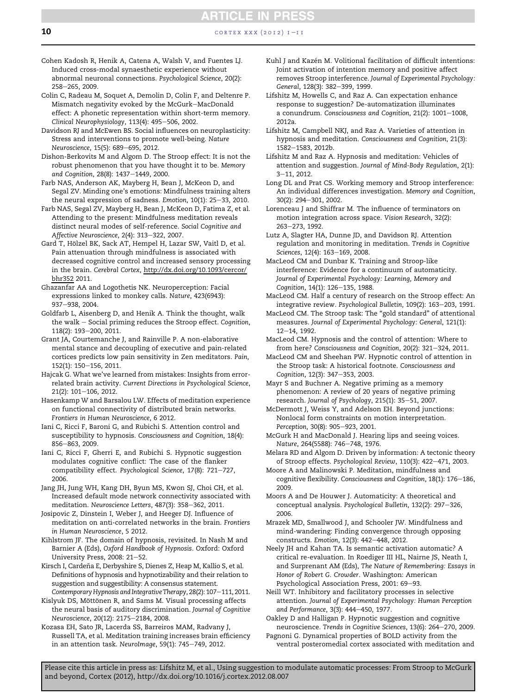#### <span id="page-9-0"></span>**10** cortex xxx (2012)  $I-II$

- Cohen Kadosh R, Henik A, Catena A, Walsh V, and Fuentes LJ. Induced cross-modal synaesthetic experience without abnormal neuronal connections. Psychological Science, 20(2): 258-265, 2009.
- Colin C, Radeau M, Soquet A, Demolin D, Colin F, and Deltenre P. Mismatch negativity evoked by the McGurk-MacDonald effect: A phonetic representation within short-term memory. Clinical Neurophysiology, 113(4): 495-506, 2002.
- Davidson RJ and McEwen BS. Social influences on neuroplasticity: Stress and interventions to promote well-being. Nature Neuroscience, 15(5): 689-695, 2012.
- Dishon-Berkovits M and Algom D. The Stroop effect: It is not the robust phenomenon that you have thought it to be. Memory and Cognition, 28(8): 1437-1449, 2000.
- Farb NAS, Anderson AK, Mayberg H, Bean J, McKeon D, and Segal ZV. Minding one's emotions: Mindfulness training alters the neural expression of sadness. Emotion,  $10(1)$ : 25-33, 2010.
- Farb NAS, Segal ZV, Mayberg H, Bean J, McKeon D, Fatima Z, et al. Attending to the present: Mindfulness meditation reveals distinct neural modes of self-reference. Social Cognitive and Affective Neuroscience, 2(4): 313-322, 2007.
- Gard T, Hölzel BK, Sack AT, Hempel H, Lazar SW, Vaitl D, et al. Pain attenuation through mindfulness is associated with decreased cognitive control and increased sensory processing in the brain. Cerebral Cortex, http://dx.doi.org/10.1093/cercor/ bhr352 2011.
- Ghazanfar AA and Logothetis NK. Neuroperception: Facial expressions linked to monkey calls. Nature, 423(6943): 937-938, 2004.
- Goldfarb L, Aisenberg D, and Henik A. Think the thought, walk the walk  $-$  Social priming reduces the Stroop effect. Cognition, 118(2): 193-200, 2011.
- Grant JA, Courtemanche J, and Rainville P. A non-elaborative mental stance and decoupling of executive and pain-related cortices predicts low pain sensitivity in Zen meditators. Pain, 152(1): 150-156, 2011.
- Hajcak G. What we've learned from mistakes: Insights from errorrelated brain activity. Current Directions in Psychological Science, 21(2): 101-106, 2012.
- Hasenkamp W and Barsalou LW. Effects of meditation experience on functional connectivity of distributed brain networks. Frontiers in Human Neuroscience, 6 2012.
- Iani C, Ricci F, Baroni G, and Rubichi S. Attention control and susceptibility to hypnosis. Consciousness and Cognition, 18(4): 856-863, 2009.
- Iani C, Ricci F, Gherri E, and Rubichi S. Hypnotic suggestion modulates cognitive conflict: The case of the flanker compatibility effect. Psychological Science, 17(8): 721-727, 2006.
- Jang JH, Jung WH, Kang DH, Byun MS, Kwon SJ, Choi CH, et al. Increased default mode network connectivity associated with meditation. Neuroscience Letters, 487(3): 358-362, 2011.
- Josipovic Z, Dinstein I, Weber J, and Heeger DJ. Influence of meditation on anti-correlated networks in the brain. Frontiers in Human Neuroscience, 5 2012.
- Kihlstrom JF. The domain of hypnosis, revisited. In Nash M and Barnier A (Eds), Oxford Handbook of Hypnosis. Oxford: Oxford University Press, 2008: 21-52.
- Kirsch I, Cardeña E, Derbyshire S, Dienes Z, Heap M, Kallio S, et al. Definitions of hypnosis and hypnotizability and their relation to suggestion and suggestibility: A consensus statement. Contemporary Hypnosis and Integrative Therapy, 28(2): 107-111, 2011.
- Kislyuk DS, Möttönen R, and Sams M. Visual processing affects the neural basis of auditory discrimination. Journal of Cognitive Neuroscience, 20(12): 2175-2184, 2008.
- Kozasa EH, Sato JR, Lacerda SS, Barreiros MAM, Radvany J, Russell TA, et al. Meditation training increases brain efficiency in an attention task. NeuroImage, 59(1): 745-749, 2012.
- Kuhl J and Kazén M. Volitional facilitation of difficult intentions: Joint activation of intention memory and positive affect removes Stroop interference. Journal of Experimental Psychology: General, 128(3): 382-399, 1999.
- Lifshitz M, Howells C, and Raz A. Can expectation enhance response to suggestion? De-automatization illuminates a conundrum. Consciousness and Cognition, 21(2): 1001-1008, 2012a.
- Lifshitz M, Campbell NKJ, and Raz A. Varieties of attention in hypnosis and meditation. Consciousness and Cognition, 21(3): 1582-1583, 2012b.
- Lifshitz M and Raz A. Hypnosis and meditation: Vehicles of attention and suggestion. Journal of Mind-Body Regulation, 2(1):  $3 - 11$ , 2012.
- Long DL and Prat CS. Working memory and Stroop interference: An individual differences investigation. Memory and Cognition, 30(2): 294-301, 2002.
- Lorenceau J and Shiffrar M. The influence of terminators on motion integration across space. Vision Research, 32(2): 263-273, 1992.
- Lutz A, Slagter HA, Dunne JD, and Davidson RJ. Attention regulation and monitoring in meditation. Trends in Cognitive Sciences, 12(4): 163-169, 2008.

MacLeod CM and Dunbar K. Training and Stroop-like interference: Evidence for a continuum of automaticity. Journal of Experimental Psychology: Learning, Memory and Cognition, 14(1): 126-135, 1988.

- MacLeod CM. Half a century of research on the Stroop effect: An integrative review. Psychological Bulletin, 109(2): 163-203, 1991.
- MacLeod CM. The Stroop task: The "gold standard" of attentional measures. Journal of Experimental Psychology: General, 121(1):  $12 - 14$ , 1992.
- MacLeod CM. Hypnosis and the control of attention: Where to from here? Consciousness and Cognition, 20(2): 321-324, 2011.
- MacLeod CM and Sheehan PW. Hypnotic control of attention in the Stroop task: A historical footnote. Consciousness and Cognition, 12(3): 347-353, 2003.
- Mayr S and Buchner A. Negative priming as a memory phenomenon: A review of 20 years of negative priming research. Journal of Psychology, 215(1): 35-51, 2007.
- McDermott J, Weiss Y, and Adelson EH. Beyond junctions: Nonlocal form constraints on motion interpretation. Perception, 30(8): 905-923, 2001.
- McGurk H and MacDonald J. Hearing lips and seeing voices. Nature, 264(5588): 746-748, 1976.
- Melara RD and Algom D. Driven by information: A tectonic theory of Stroop effects. Psychological Review, 110(3): 422-471, 2003.
- Moore A and Malinowski P. Meditation, mindfulness and cognitive flexibility. Consciousness and Cognition, 18(1): 176-186, 2009.
- Moors A and De Houwer J. Automaticity: A theoretical and conceptual analysis. Psychological Bulletin, 132(2): 297-326, 2006.
- Mrazek MD, Smallwood J, and Schooler JW. Mindfulness and mind-wandering: Finding convergence through opposing constructs. Emotion, 12(3): 442-448, 2012.
- Neely JH and Kahan TA. Is semantic activation automatic? A critical re-evaluation. In Roediger III HL, Nairne JS, Neath I, and Surprenant AM (Eds), The Nature of Remembering: Essays in Honor of Robert G. Crowder. Washington: American Psychological Association Press, 2001: 69-93.
- Neill WT. Inhibitory and facilitatory processes in selective attention. Journal of Experimental Psychology: Human Perception and Performance, 3(3): 444-450, 1977.
- Oakley D and Halligan P. Hypnotic suggestion and cognitive neuroscience. Trends in Cognitive Sciences, 13(6): 264-270, 2009.
- Pagnoni G. Dynamical properties of BOLD activity from the ventral posteromedial cortex associated with meditation and